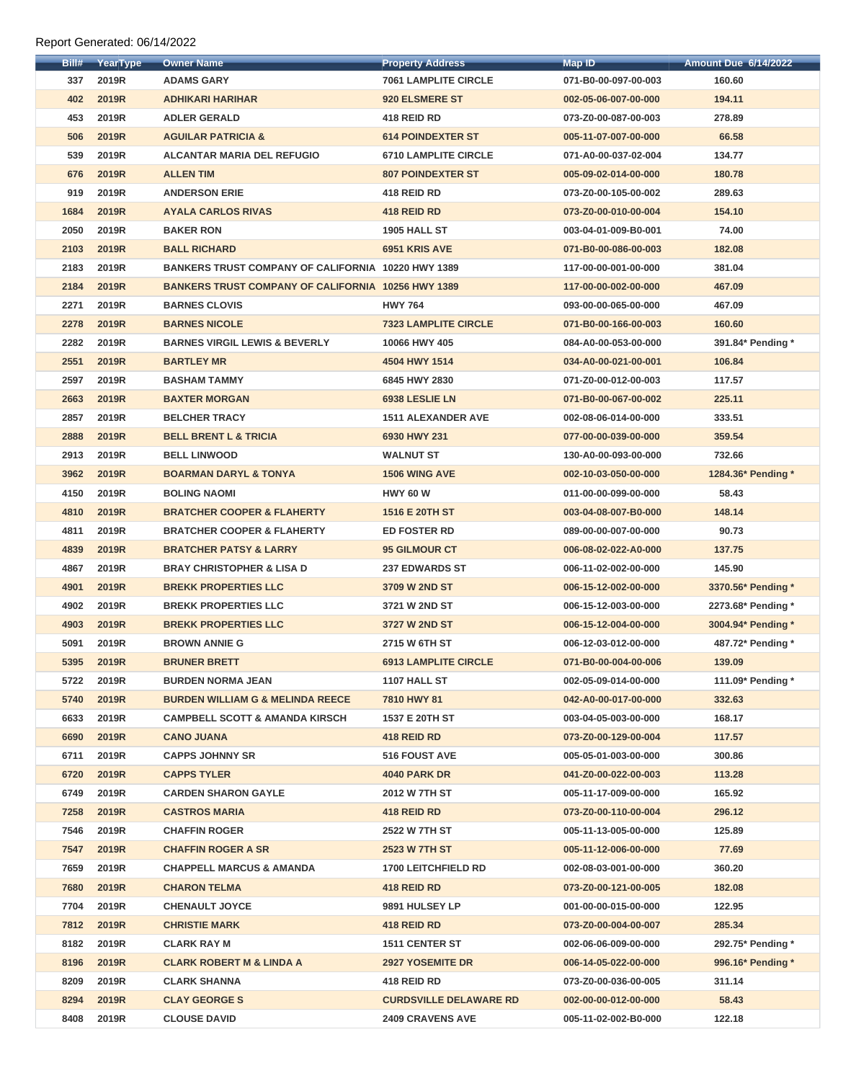| Bill# | YearType     | <b>Owner Name</b>                                         | <b>Property Address</b>       | <b>Map ID</b>        | <b>Amount Due 6/14/2022</b> |
|-------|--------------|-----------------------------------------------------------|-------------------------------|----------------------|-----------------------------|
| 337   | 2019R        | <b>ADAMS GARY</b>                                         | <b>7061 LAMPLITE CIRCLE</b>   | 071-B0-00-097-00-003 | 160.60                      |
| 402   | <b>2019R</b> | <b>ADHIKARI HARIHAR</b>                                   | 920 ELSMERE ST                | 002-05-06-007-00-000 | 194.11                      |
| 453   | 2019R        | <b>ADLER GERALD</b>                                       | 418 REID RD                   | 073-Z0-00-087-00-003 | 278.89                      |
| 506   | 2019R        | <b>AGUILAR PATRICIA &amp;</b>                             | <b>614 POINDEXTER ST</b>      | 005-11-07-007-00-000 | 66.58                       |
| 539   | 2019R        | <b>ALCANTAR MARIA DEL REFUGIO</b>                         | <b>6710 LAMPLITE CIRCLE</b>   | 071-A0-00-037-02-004 | 134.77                      |
| 676   | 2019R        | <b>ALLEN TIM</b>                                          | <b>807 POINDEXTER ST</b>      | 005-09-02-014-00-000 | 180.78                      |
| 919   | 2019R        | <b>ANDERSON ERIE</b>                                      | 418 REID RD                   | 073-Z0-00-105-00-002 | 289.63                      |
| 1684  | <b>2019R</b> | <b>AYALA CARLOS RIVAS</b>                                 | 418 REID RD                   | 073-Z0-00-010-00-004 | 154.10                      |
| 2050  | 2019R        | <b>BAKER RON</b>                                          | <b>1905 HALL ST</b>           | 003-04-01-009-B0-001 | 74.00                       |
| 2103  | 2019R        | <b>BALL RICHARD</b>                                       | 6951 KRIS AVE                 | 071-B0-00-086-00-003 | 182.08                      |
| 2183  | 2019R        | BANKERS TRUST COMPANY OF CALIFORNIA 10220 HWY 1389        |                               | 117-00-00-001-00-000 | 381.04                      |
| 2184  | 2019R        | <b>BANKERS TRUST COMPANY OF CALIFORNIA 10256 HWY 1389</b> |                               | 117-00-00-002-00-000 | 467.09                      |
| 2271  | 2019R        | <b>BARNES CLOVIS</b>                                      | <b>HWY 764</b>                | 093-00-00-065-00-000 | 467.09                      |
| 2278  | <b>2019R</b> | <b>BARNES NICOLE</b>                                      | <b>7323 LAMPLITE CIRCLE</b>   | 071-B0-00-166-00-003 | 160.60                      |
| 2282  | 2019R        | <b>BARNES VIRGIL LEWIS &amp; BEVERLY</b>                  | 10066 HWY 405                 | 084-A0-00-053-00-000 | 391.84* Pending *           |
| 2551  | 2019R        | <b>BARTLEY MR</b>                                         | 4504 HWY 1514                 | 034-A0-00-021-00-001 | 106.84                      |
| 2597  | 2019R        | <b>BASHAM TAMMY</b>                                       | 6845 HWY 2830                 | 071-Z0-00-012-00-003 | 117.57                      |
| 2663  | 2019R        | <b>BAXTER MORGAN</b>                                      | 6938 LESLIE LN                | 071-B0-00-067-00-002 | 225.11                      |
| 2857  | 2019R        | <b>BELCHER TRACY</b>                                      | <b>1511 ALEXANDER AVE</b>     | 002-08-06-014-00-000 | 333.51                      |
| 2888  | <b>2019R</b> | <b>BELL BRENT L &amp; TRICIA</b>                          | 6930 HWY 231                  | 077-00-00-039-00-000 | 359.54                      |
| 2913  | 2019R        | <b>BELL LINWOOD</b>                                       | <b>WALNUT ST</b>              | 130-A0-00-093-00-000 | 732.66                      |
| 3962  | <b>2019R</b> | <b>BOARMAN DARYL &amp; TONYA</b>                          | <b>1506 WING AVE</b>          | 002-10-03-050-00-000 | 1284.36* Pending *          |
| 4150  | 2019R        | <b>BOLING NAOMI</b>                                       | <b>HWY 60 W</b>               | 011-00-00-099-00-000 | 58.43                       |
| 4810  | 2019R        | <b>BRATCHER COOPER &amp; FLAHERTY</b>                     | 1516 E 20TH ST                | 003-04-08-007-B0-000 | 148.14                      |
| 4811  | 2019R        | <b>BRATCHER COOPER &amp; FLAHERTY</b>                     | <b>ED FOSTER RD</b>           | 089-00-00-007-00-000 | 90.73                       |
| 4839  | <b>2019R</b> | <b>BRATCHER PATSY &amp; LARRY</b>                         | <b>95 GILMOUR CT</b>          | 006-08-02-022-A0-000 | 137.75                      |
| 4867  | 2019R        | <b>BRAY CHRISTOPHER &amp; LISA D</b>                      | <b>237 EDWARDS ST</b>         | 006-11-02-002-00-000 | 145.90                      |
| 4901  | <b>2019R</b> | <b>BREKK PROPERTIES LLC</b>                               | 3709 W 2ND ST                 | 006-15-12-002-00-000 | 3370.56* Pending *          |
| 4902  | 2019R        | <b>BREKK PROPERTIES LLC</b>                               | 3721 W 2ND ST                 | 006-15-12-003-00-000 | 2273.68* Pending *          |
| 4903  | 2019R        | <b>BREKK PROPERTIES LLC</b>                               | 3727 W 2ND ST                 | 006-15-12-004-00-000 | 3004.94* Pending *          |
| 5091  | 2019R        | <b>BROWN ANNIE G</b>                                      | 2715 W 6TH ST                 | 006-12-03-012-00-000 | 487.72* Pending *           |
| 5395  | <b>2019R</b> | <b>BRUNER BRETT</b>                                       | <b>6913 LAMPLITE CIRCLE</b>   | 071-B0-00-004-00-006 | 139.09                      |
| 5722  | 2019R        | <b>BURDEN NORMA JEAN</b>                                  | 1107 HALL ST                  | 002-05-09-014-00-000 | 111.09* Pending *           |
| 5740  | <b>2019R</b> | <b>BURDEN WILLIAM G &amp; MELINDA REECE</b>               | 7810 HWY 81                   | 042-A0-00-017-00-000 | 332.63                      |
| 6633  | 2019R        | <b>CAMPBELL SCOTT &amp; AMANDA KIRSCH</b>                 | 1537 E 20TH ST                | 003-04-05-003-00-000 | 168.17                      |
| 6690  | 2019R        | <b>CANO JUANA</b>                                         | 418 REID RD                   | 073-Z0-00-129-00-004 | 117.57                      |
| 6711  | 2019R        | <b>CAPPS JOHNNY SR</b>                                    | 516 FOUST AVE                 | 005-05-01-003-00-000 | 300.86                      |
| 6720  | <b>2019R</b> | <b>CAPPS TYLER</b>                                        | <b>4040 PARK DR</b>           | 041-Z0-00-022-00-003 | 113.28                      |
| 6749  | 2019R        | <b>CARDEN SHARON GAYLE</b>                                | 2012 W 7TH ST                 | 005-11-17-009-00-000 | 165.92                      |
| 7258  | <b>2019R</b> | <b>CASTROS MARIA</b>                                      | 418 REID RD                   | 073-Z0-00-110-00-004 | 296.12                      |
| 7546  | 2019R        | <b>CHAFFIN ROGER</b>                                      | 2522 W 7TH ST                 | 005-11-13-005-00-000 | 125.89                      |
| 7547  | 2019R        | <b>CHAFFIN ROGER A SR</b>                                 | <b>2523 W 7TH ST</b>          | 005-11-12-006-00-000 | 77.69                       |
| 7659  | 2019R        | <b>CHAPPELL MARCUS &amp; AMANDA</b>                       | <b>1700 LEITCHFIELD RD</b>    | 002-08-03-001-00-000 | 360.20                      |
| 7680  | <b>2019R</b> | <b>CHARON TELMA</b>                                       | 418 REID RD                   | 073-Z0-00-121-00-005 | 182.08                      |
| 7704  | 2019R        | <b>CHENAULT JOYCE</b>                                     | 9891 HULSEY LP                | 001-00-00-015-00-000 | 122.95                      |
| 7812  | 2019R        | <b>CHRISTIE MARK</b>                                      | 418 REID RD                   | 073-Z0-00-004-00-007 | 285.34                      |
| 8182  | 2019R        | <b>CLARK RAY M</b>                                        | 1511 CENTER ST                | 002-06-06-009-00-000 | 292.75* Pending *           |
| 8196  | 2019R        | <b>CLARK ROBERT M &amp; LINDA A</b>                       | <b>2927 YOSEMITE DR</b>       | 006-14-05-022-00-000 | 996.16* Pending *           |
| 8209  | 2019R        | <b>CLARK SHANNA</b>                                       | 418 REID RD                   | 073-Z0-00-036-00-005 | 311.14                      |
| 8294  | 2019R        | <b>CLAY GEORGE S</b>                                      | <b>CURDSVILLE DELAWARE RD</b> | 002-00-00-012-00-000 | 58.43                       |
| 8408  | 2019R        | <b>CLOUSE DAVID</b>                                       | <b>2409 CRAVENS AVE</b>       | 005-11-02-002-B0-000 | 122.18                      |
|       |              |                                                           |                               |                      |                             |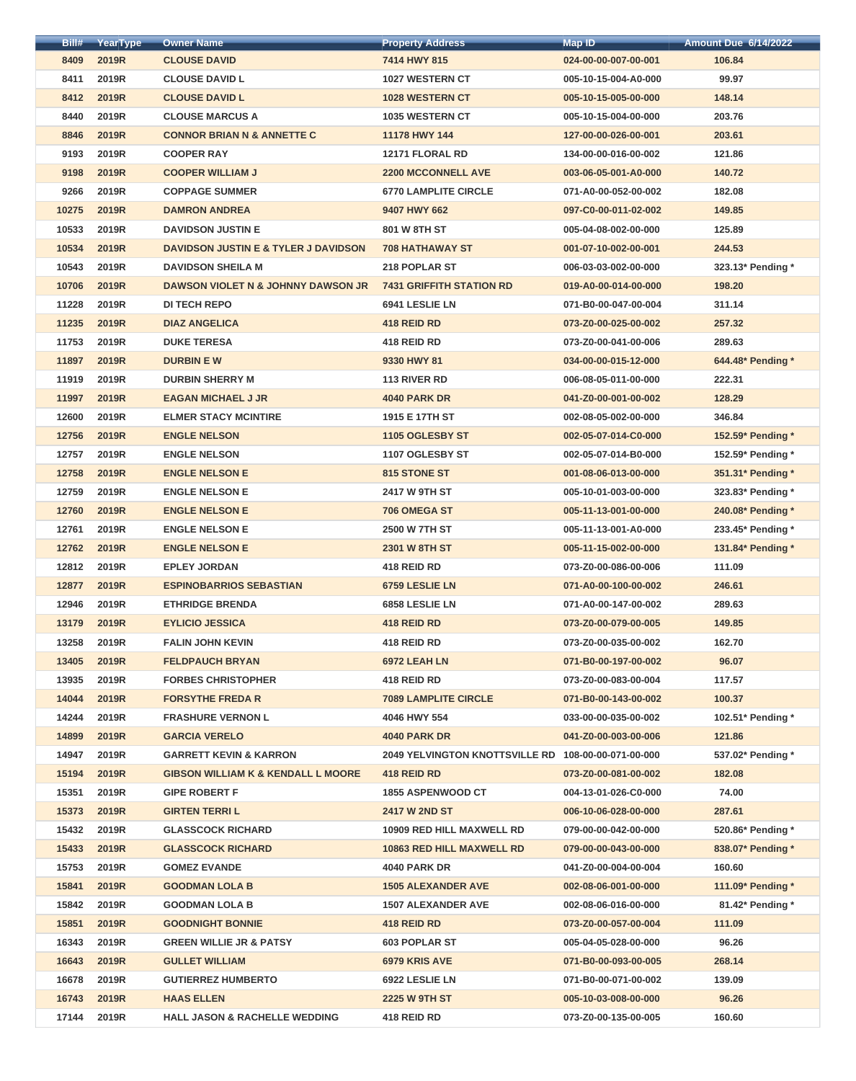| Bill# | YearType     | <b>Owner Name</b>                               | <b>Property Address</b>                             | Map ID               | <b>Amount Due 6/14/2022</b> |
|-------|--------------|-------------------------------------------------|-----------------------------------------------------|----------------------|-----------------------------|
| 8409  | 2019R        | <b>CLOUSE DAVID</b>                             | 7414 HWY 815                                        | 024-00-00-007-00-001 | 106.84                      |
| 8411  | 2019R        | <b>CLOUSE DAVID L</b>                           | <b>1027 WESTERN CT</b>                              | 005-10-15-004-A0-000 | 99.97                       |
| 8412  | 2019R        | <b>CLOUSE DAVID L</b>                           | <b>1028 WESTERN CT</b>                              | 005-10-15-005-00-000 | 148.14                      |
| 8440  | 2019R        | <b>CLOUSE MARCUS A</b>                          | <b>1035 WESTERN CT</b>                              | 005-10-15-004-00-000 | 203.76                      |
| 8846  | <b>2019R</b> | <b>CONNOR BRIAN N &amp; ANNETTE C</b>           | 11178 HWY 144                                       | 127-00-00-026-00-001 | 203.61                      |
| 9193  | 2019R        | <b>COOPER RAY</b>                               | 12171 FLORAL RD                                     | 134-00-00-016-00-002 | 121.86                      |
| 9198  | <b>2019R</b> | <b>COOPER WILLIAM J</b>                         | <b>2200 MCCONNELL AVE</b>                           | 003-06-05-001-A0-000 | 140.72                      |
| 9266  | 2019R        | <b>COPPAGE SUMMER</b>                           | <b>6770 LAMPLITE CIRCLE</b>                         | 071-A0-00-052-00-002 | 182.08                      |
| 10275 | 2019R        | <b>DAMRON ANDREA</b>                            | 9407 HWY 662                                        | 097-C0-00-011-02-002 | 149.85                      |
| 10533 | 2019R        | <b>DAVIDSON JUSTIN E</b>                        | 801 W 8TH ST                                        | 005-04-08-002-00-000 | 125.89                      |
| 10534 | 2019R        | <b>DAVIDSON JUSTIN E &amp; TYLER J DAVIDSON</b> | <b>708 HATHAWAY ST</b>                              | 001-07-10-002-00-001 | 244.53                      |
| 10543 | 2019R        | <b>DAVIDSON SHEILA M</b>                        | 218 POPLAR ST                                       | 006-03-03-002-00-000 | 323.13* Pending *           |
| 10706 | 2019R        | <b>DAWSON VIOLET N &amp; JOHNNY DAWSON JR</b>   | <b>7431 GRIFFITH STATION RD</b>                     | 019-A0-00-014-00-000 | 198.20                      |
| 11228 | 2019R        | <b>DI TECH REPO</b>                             | 6941 LESLIE LN                                      | 071-B0-00-047-00-004 | 311.14                      |
| 11235 | 2019R        | <b>DIAZ ANGELICA</b>                            | 418 REID RD                                         | 073-Z0-00-025-00-002 | 257.32                      |
| 11753 | 2019R        | <b>DUKE TERESA</b>                              | 418 REID RD                                         | 073-Z0-00-041-00-006 | 289.63                      |
| 11897 | 2019R        | <b>DURBIN EW</b>                                | 9330 HWY 81                                         | 034-00-00-015-12-000 | 644.48* Pending *           |
| 11919 | 2019R        | <b>DURBIN SHERRY M</b>                          | 113 RIVER RD                                        | 006-08-05-011-00-000 | 222.31                      |
| 11997 | 2019R        | <b>EAGAN MICHAEL J JR</b>                       | <b>4040 PARK DR</b>                                 | 041-Z0-00-001-00-002 | 128.29                      |
| 12600 | 2019R        | <b>ELMER STACY MCINTIRE</b>                     | 1915 E 17TH ST                                      | 002-08-05-002-00-000 | 346.84                      |
| 12756 | <b>2019R</b> | <b>ENGLE NELSON</b>                             | 1105 OGLESBY ST                                     | 002-05-07-014-C0-000 | 152.59* Pending *           |
| 12757 | 2019R        | <b>ENGLE NELSON</b>                             | 1107 OGLESBY ST                                     | 002-05-07-014-B0-000 | 152.59* Pending *           |
| 12758 | 2019R        | <b>ENGLE NELSON E</b>                           | 815 STONE ST                                        | 001-08-06-013-00-000 | 351.31* Pending *           |
| 12759 | 2019R        | <b>ENGLE NELSON E</b>                           | 2417 W 9TH ST                                       | 005-10-01-003-00-000 | 323.83* Pending *           |
| 12760 | <b>2019R</b> | <b>ENGLE NELSON E</b>                           | 706 OMEGA ST                                        | 005-11-13-001-00-000 | 240.08* Pending *           |
| 12761 | 2019R        | <b>ENGLE NELSON E</b>                           | <b>2500 W 7TH ST</b>                                | 005-11-13-001-A0-000 | 233.45* Pending *           |
| 12762 | 2019R        | <b>ENGLE NELSON E</b>                           | <b>2301 W 8TH ST</b>                                | 005-11-15-002-00-000 | 131.84* Pending *           |
| 12812 | 2019R        | <b>EPLEY JORDAN</b>                             | 418 REID RD                                         | 073-Z0-00-086-00-006 | 111.09                      |
| 12877 | <b>2019R</b> | <b>ESPINOBARRIOS SEBASTIAN</b>                  | 6759 LESLIE LN                                      | 071-A0-00-100-00-002 | 246.61                      |
| 12946 | 2019R        | <b>ETHRIDGE BRENDA</b>                          | 6858 LESLIE LN                                      | 071-A0-00-147-00-002 | 289.63                      |
| 13179 | <b>2019R</b> | <b>EYLICIO JESSICA</b>                          | 418 REID RD                                         | 073-Z0-00-079-00-005 | 149.85                      |
| 13258 | 2019R        | <b>FALIN JOHN KEVIN</b>                         | 418 REID RD                                         | 073-Z0-00-035-00-002 | 162.70                      |
| 13405 | 2019R        | <b>FELDPAUCH BRYAN</b>                          | 6972 LEAH LN                                        | 071-B0-00-197-00-002 | 96.07                       |
| 13935 | 2019R        | <b>FORBES CHRISTOPHER</b>                       | 418 REID RD                                         | 073-Z0-00-083-00-004 | 117.57                      |
| 14044 | 2019R        | <b>FORSYTHE FREDA R</b>                         | <b>7089 LAMPLITE CIRCLE</b>                         | 071-B0-00-143-00-002 | 100.37                      |
| 14244 | 2019R        | <b>FRASHURE VERNON L</b>                        | 4046 HWY 554                                        | 033-00-00-035-00-002 | 102.51* Pending *           |
| 14899 | <b>2019R</b> | <b>GARCIA VERELO</b>                            | <b>4040 PARK DR</b>                                 | 041-Z0-00-003-00-006 | 121.86                      |
| 14947 | 2019R        | <b>GARRETT KEVIN &amp; KARRON</b>               | 2049 YELVINGTON KNOTTSVILLE RD 108-00-00-071-00-000 |                      | 537.02* Pending *           |
| 15194 | 2019R        | <b>GIBSON WILLIAM K &amp; KENDALL L MOORE</b>   | 418 REID RD                                         | 073-Z0-00-081-00-002 | 182.08                      |
| 15351 | 2019R        | <b>GIPE ROBERT F</b>                            | <b>1855 ASPENWOOD CT</b>                            | 004-13-01-026-C0-000 | 74.00                       |
| 15373 | <b>2019R</b> | <b>GIRTEN TERRIL</b>                            | <b>2417 W 2ND ST</b>                                | 006-10-06-028-00-000 | 287.61                      |
| 15432 | 2019R        | <b>GLASSCOCK RICHARD</b>                        | 10909 RED HILL MAXWELL RD                           | 079-00-00-042-00-000 | 520.86* Pending *           |
| 15433 | 2019R        | <b>GLASSCOCK RICHARD</b>                        | <b>10863 RED HILL MAXWELL RD</b>                    | 079-00-00-043-00-000 | 838.07* Pending *           |
| 15753 | 2019R        | <b>GOMEZ EVANDE</b>                             | <b>4040 PARK DR</b>                                 | 041-Z0-00-004-00-004 | 160.60                      |
| 15841 | 2019R        | <b>GOODMAN LOLA B</b>                           | <b>1505 ALEXANDER AVE</b>                           | 002-08-06-001-00-000 | 111.09* Pending *           |
| 15842 | 2019R        | <b>GOODMAN LOLA B</b>                           | <b>1507 ALEXANDER AVE</b>                           | 002-08-06-016-00-000 | 81.42* Pending *            |
| 15851 | <b>2019R</b> | <b>GOODNIGHT BONNIE</b>                         | <b>418 REID RD</b>                                  | 073-Z0-00-057-00-004 | 111.09                      |
| 16343 | 2019R        | <b>GREEN WILLIE JR &amp; PATSY</b>              | <b>603 POPLAR ST</b>                                | 005-04-05-028-00-000 | 96.26                       |
| 16643 | <b>2019R</b> | <b>GULLET WILLIAM</b>                           | 6979 KRIS AVE                                       | 071-B0-00-093-00-005 | 268.14                      |
| 16678 | 2019R        | <b>GUTIERREZ HUMBERTO</b>                       | 6922 LESLIE LN                                      | 071-B0-00-071-00-002 | 139.09                      |
| 16743 | 2019R        | <b>HAAS ELLEN</b>                               | <b>2225 W 9TH ST</b>                                | 005-10-03-008-00-000 | 96.26                       |
| 17144 | 2019R        | <b>HALL JASON &amp; RACHELLE WEDDING</b>        | 418 REID RD                                         | 073-Z0-00-135-00-005 | 160.60                      |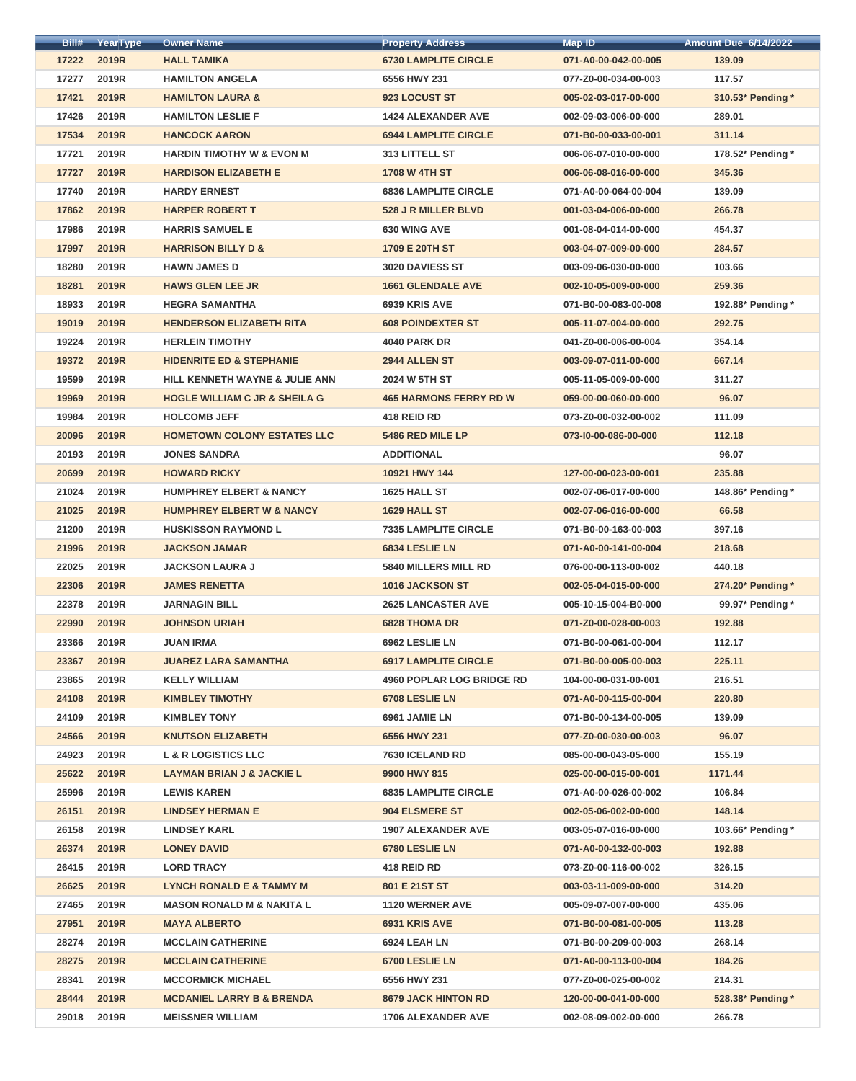| Bill# | YearType     | <b>Owner Name</b>                        | <b>Property Address</b>          | <b>Map ID</b>        | <b>Amount Due 6/14/2022</b> |
|-------|--------------|------------------------------------------|----------------------------------|----------------------|-----------------------------|
| 17222 | 2019R        | <b>HALL TAMIKA</b>                       | <b>6730 LAMPLITE CIRCLE</b>      | 071-A0-00-042-00-005 | 139.09                      |
| 17277 | 2019R        | <b>HAMILTON ANGELA</b>                   | 6556 HWY 231                     | 077-Z0-00-034-00-003 | 117.57                      |
| 17421 | 2019R        | <b>HAMILTON LAURA &amp;</b>              | 923 LOCUST ST                    | 005-02-03-017-00-000 | 310.53* Pending *           |
| 17426 | 2019R        | <b>HAMILTON LESLIE F</b>                 | <b>1424 ALEXANDER AVE</b>        | 002-09-03-006-00-000 | 289.01                      |
| 17534 | 2019R        | <b>HANCOCK AARON</b>                     | <b>6944 LAMPLITE CIRCLE</b>      | 071-B0-00-033-00-001 | 311.14                      |
| 17721 | 2019R        | <b>HARDIN TIMOTHY W &amp; EVON M</b>     | 313 LITTELL ST                   | 006-06-07-010-00-000 | 178.52* Pending *           |
| 17727 | 2019R        | <b>HARDISON ELIZABETH E</b>              | <b>1708 W 4TH ST</b>             | 006-06-08-016-00-000 | 345.36                      |
| 17740 | 2019R        | <b>HARDY ERNEST</b>                      | <b>6836 LAMPLITE CIRCLE</b>      | 071-A0-00-064-00-004 | 139.09                      |
| 17862 | 2019R        | <b>HARPER ROBERT T</b>                   | 528 J R MILLER BLVD              | 001-03-04-006-00-000 | 266.78                      |
| 17986 | 2019R        | <b>HARRIS SAMUEL E</b>                   | <b>630 WING AVE</b>              | 001-08-04-014-00-000 | 454.37                      |
| 17997 | 2019R        | <b>HARRISON BILLY D &amp;</b>            | 1709 E 20TH ST                   | 003-04-07-009-00-000 | 284.57                      |
| 18280 | 2019R        | <b>HAWN JAMES D</b>                      | 3020 DAVIESS ST                  | 003-09-06-030-00-000 | 103.66                      |
| 18281 | 2019R        | <b>HAWS GLEN LEE JR</b>                  | <b>1661 GLENDALE AVE</b>         | 002-10-05-009-00-000 | 259.36                      |
| 18933 | 2019R        | <b>HEGRA SAMANTHA</b>                    | 6939 KRIS AVE                    | 071-B0-00-083-00-008 | 192.88* Pending *           |
| 19019 | 2019R        | <b>HENDERSON ELIZABETH RITA</b>          | <b>608 POINDEXTER ST</b>         | 005-11-07-004-00-000 | 292.75                      |
| 19224 | 2019R        | <b>HERLEIN TIMOTHY</b>                   | <b>4040 PARK DR</b>              | 041-Z0-00-006-00-004 | 354.14                      |
| 19372 | 2019R        | <b>HIDENRITE ED &amp; STEPHANIE</b>      | 2944 ALLEN ST                    | 003-09-07-011-00-000 | 667.14                      |
| 19599 | 2019R        | HILL KENNETH WAYNE & JULIE ANN           | 2024 W 5TH ST                    | 005-11-05-009-00-000 | 311.27                      |
| 19969 | <b>2019R</b> | <b>HOGLE WILLIAM C JR &amp; SHEILA G</b> | <b>465 HARMONS FERRY RD W</b>    | 059-00-00-060-00-000 | 96.07                       |
| 19984 | 2019R        | <b>HOLCOMB JEFF</b>                      | 418 REID RD                      | 073-Z0-00-032-00-002 | 111.09                      |
| 20096 | 2019R        | <b>HOMETOWN COLONY ESTATES LLC</b>       | 5486 RED MILE LP                 | 073-10-00-086-00-000 | 112.18                      |
| 20193 | 2019R        | <b>JONES SANDRA</b>                      | <b>ADDITIONAL</b>                |                      | 96.07                       |
| 20699 | <b>2019R</b> | <b>HOWARD RICKY</b>                      | 10921 HWY 144                    | 127-00-00-023-00-001 | 235.88                      |
| 21024 | 2019R        | <b>HUMPHREY ELBERT &amp; NANCY</b>       | <b>1625 HALL ST</b>              | 002-07-06-017-00-000 | 148.86* Pending *           |
| 21025 | 2019R        | <b>HUMPHREY ELBERT W &amp; NANCY</b>     | <b>1629 HALL ST</b>              | 002-07-06-016-00-000 | 66.58                       |
| 21200 | 2019R        | <b>HUSKISSON RAYMOND L</b>               | <b>7335 LAMPLITE CIRCLE</b>      | 071-B0-00-163-00-003 | 397.16                      |
| 21996 | 2019R        | <b>JACKSON JAMAR</b>                     | <b>6834 LESLIE LN</b>            | 071-A0-00-141-00-004 | 218.68                      |
| 22025 | 2019R        | <b>JACKSON LAURA J</b>                   | <b>5840 MILLERS MILL RD</b>      | 076-00-00-113-00-002 | 440.18                      |
| 22306 | <b>2019R</b> | <b>JAMES RENETTA</b>                     | <b>1016 JACKSON ST</b>           | 002-05-04-015-00-000 | 274.20* Pending *           |
| 22378 | 2019R        | <b>JARNAGIN BILL</b>                     | <b>2625 LANCASTER AVE</b>        | 005-10-15-004-B0-000 | 99.97* Pending *            |
| 22990 | <b>2019R</b> | <b>JOHNSON URIAH</b>                     | <b>6828 THOMA DR</b>             | 071-Z0-00-028-00-003 | 192.88                      |
| 23366 | 2019R        | <b>JUAN IRMA</b>                         | 6962 LESLIE LN                   | 071-B0-00-061-00-004 | 112.17                      |
| 23367 | 2019R        | <b>JUAREZ LARA SAMANTHA</b>              | <b>6917 LAMPLITE CIRCLE</b>      | 071-B0-00-005-00-003 | 225.11                      |
| 23865 | 2019R        | <b>KELLY WILLIAM</b>                     | <b>4960 POPLAR LOG BRIDGE RD</b> | 104-00-00-031-00-001 | 216.51                      |
| 24108 | <b>2019R</b> | <b>KIMBLEY TIMOTHY</b>                   | 6708 LESLIE LN                   | 071-A0-00-115-00-004 | 220.80                      |
| 24109 | 2019R        | <b>KIMBLEY TONY</b>                      | 6961 JAMIE LN                    | 071-B0-00-134-00-005 | 139.09                      |
| 24566 | <b>2019R</b> | <b>KNUTSON ELIZABETH</b>                 | 6556 HWY 231                     | 077-Z0-00-030-00-003 | 96.07                       |
| 24923 | 2019R        | <b>L &amp; R LOGISTICS LLC</b>           | 7630 ICELAND RD                  | 085-00-00-043-05-000 | 155.19                      |
| 25622 | <b>2019R</b> | <b>LAYMAN BRIAN J &amp; JACKIE L</b>     | 9900 HWY 815                     | 025-00-00-015-00-001 | 1171.44                     |
| 25996 | 2019R        | <b>LEWIS KAREN</b>                       | <b>6835 LAMPLITE CIRCLE</b>      | 071-A0-00-026-00-002 | 106.84                      |
| 26151 | 2019R        | <b>LINDSEY HERMAN E</b>                  | <b>904 ELSMERE ST</b>            | 002-05-06-002-00-000 | 148.14                      |
| 26158 | 2019R        | <b>LINDSEY KARL</b>                      | <b>1907 ALEXANDER AVE</b>        | 003-05-07-016-00-000 | 103.66* Pending *           |
| 26374 | <b>2019R</b> | <b>LONEY DAVID</b>                       | 6780 LESLIE LN                   | 071-A0-00-132-00-003 | 192.88                      |
| 26415 | 2019R        | <b>LORD TRACY</b>                        | 418 REID RD                      | 073-Z0-00-116-00-002 | 326.15                      |
| 26625 | 2019R        | <b>LYNCH RONALD E &amp; TAMMY M</b>      | 801 E 21ST ST                    | 003-03-11-009-00-000 | 314.20                      |
| 27465 | 2019R        | <b>MASON RONALD M &amp; NAKITA L</b>     | <b>1120 WERNER AVE</b>           | 005-09-07-007-00-000 | 435.06                      |
| 27951 | <b>2019R</b> | <b>MAYA ALBERTO</b>                      | 6931 KRIS AVE                    | 071-B0-00-081-00-005 | 113.28                      |
| 28274 | 2019R        | <b>MCCLAIN CATHERINE</b>                 | 6924 LEAH LN                     | 071-B0-00-209-00-003 | 268.14                      |
| 28275 | 2019R        | <b>MCCLAIN CATHERINE</b>                 | 6700 LESLIE LN                   | 071-A0-00-113-00-004 | 184.26                      |
| 28341 | 2019R        | <b>MCCORMICK MICHAEL</b>                 | 6556 HWY 231                     | 077-Z0-00-025-00-002 | 214.31                      |
| 28444 | 2019R        | <b>MCDANIEL LARRY B &amp; BRENDA</b>     | <b>8679 JACK HINTON RD</b>       | 120-00-00-041-00-000 | 528.38* Pending *           |
| 29018 | 2019R        | <b>MEISSNER WILLIAM</b>                  | <b>1706 ALEXANDER AVE</b>        | 002-08-09-002-00-000 | 266.78                      |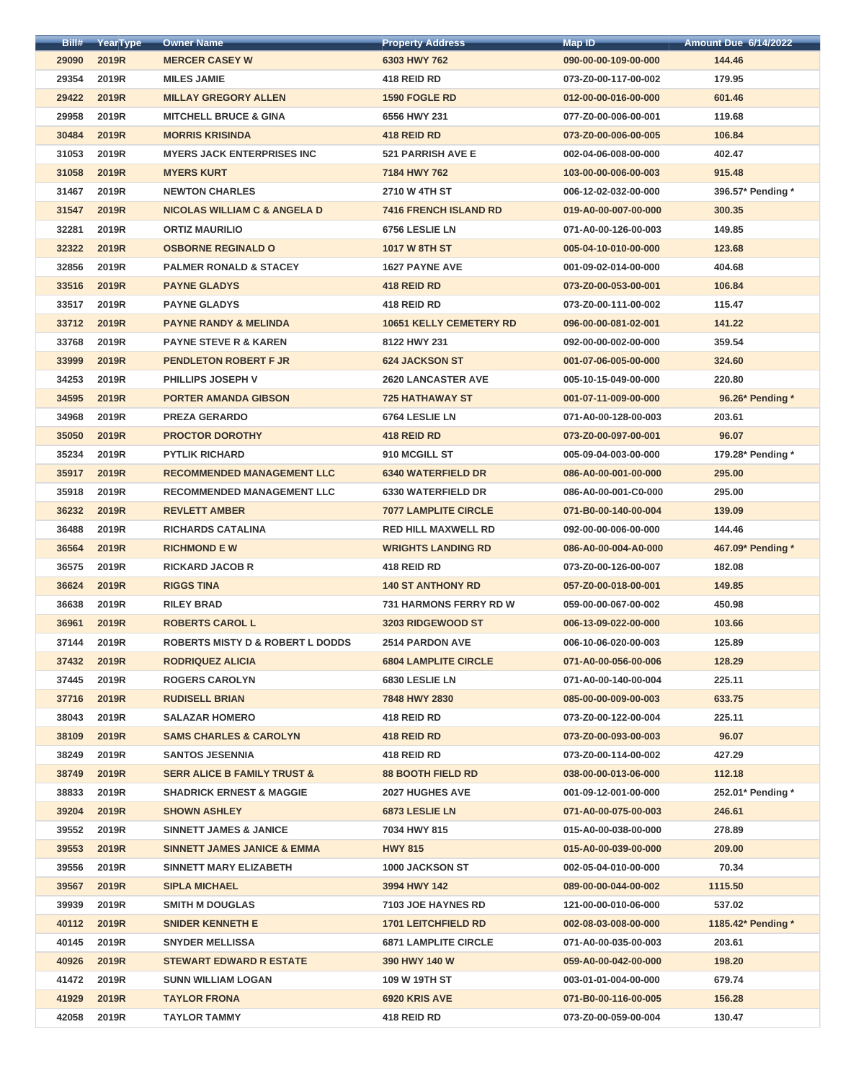| Bill# | YearType     | <b>Owner Name</b>                           | <b>Property Address</b>        | <b>Map ID</b>        | <b>Amount Due 6/14/2022</b> |
|-------|--------------|---------------------------------------------|--------------------------------|----------------------|-----------------------------|
| 29090 | 2019R        | <b>MERCER CASEY W</b>                       | 6303 HWY 762                   | 090-00-00-109-00-000 | 144.46                      |
| 29354 | 2019R        | <b>MILES JAMIE</b>                          | 418 REID RD                    | 073-Z0-00-117-00-002 | 179.95                      |
| 29422 | 2019R        | <b>MILLAY GREGORY ALLEN</b>                 | <b>1590 FOGLE RD</b>           | 012-00-00-016-00-000 | 601.46                      |
| 29958 | 2019R        | <b>MITCHELL BRUCE &amp; GINA</b>            | 6556 HWY 231                   | 077-Z0-00-006-00-001 | 119.68                      |
| 30484 | 2019R        | <b>MORRIS KRISINDA</b>                      | 418 REID RD                    | 073-Z0-00-006-00-005 | 106.84                      |
| 31053 | 2019R        | <b>MYERS JACK ENTERPRISES INC</b>           | <b>521 PARRISH AVE E</b>       | 002-04-06-008-00-000 | 402.47                      |
| 31058 | 2019R        | <b>MYERS KURT</b>                           | 7184 HWY 762                   | 103-00-00-006-00-003 | 915.48                      |
| 31467 | 2019R        | <b>NEWTON CHARLES</b>                       | 2710 W 4TH ST                  | 006-12-02-032-00-000 | 396.57* Pending *           |
| 31547 | 2019R        | <b>NICOLAS WILLIAM C &amp; ANGELA D</b>     | 7416 FRENCH ISLAND RD          | 019-A0-00-007-00-000 | 300.35                      |
| 32281 | 2019R        | <b>ORTIZ MAURILIO</b>                       | 6756 LESLIE LN                 | 071-A0-00-126-00-003 | 149.85                      |
| 32322 | 2019R        | <b>OSBORNE REGINALD O</b>                   | <b>1017 W 8TH ST</b>           | 005-04-10-010-00-000 | 123.68                      |
| 32856 | 2019R        | <b>PALMER RONALD &amp; STACEY</b>           | <b>1627 PAYNE AVE</b>          | 001-09-02-014-00-000 | 404.68                      |
| 33516 | 2019R        | <b>PAYNE GLADYS</b>                         | 418 REID RD                    | 073-Z0-00-053-00-001 | 106.84                      |
| 33517 | 2019R        | <b>PAYNE GLADYS</b>                         | 418 REID RD                    | 073-Z0-00-111-00-002 | 115.47                      |
| 33712 | 2019R        | <b>PAYNE RANDY &amp; MELINDA</b>            | <b>10651 KELLY CEMETERY RD</b> | 096-00-00-081-02-001 | 141.22                      |
| 33768 | 2019R        | <b>PAYNE STEVE R &amp; KAREN</b>            | 8122 HWY 231                   | 092-00-00-002-00-000 | 359.54                      |
| 33999 | 2019R        | <b>PENDLETON ROBERT F JR</b>                | <b>624 JACKSON ST</b>          | 001-07-06-005-00-000 | 324.60                      |
| 34253 | 2019R        | PHILLIPS JOSEPH V                           | <b>2620 LANCASTER AVE</b>      | 005-10-15-049-00-000 | 220.80                      |
| 34595 | 2019R        | <b>PORTER AMANDA GIBSON</b>                 | <b>725 HATHAWAY ST</b>         | 001-07-11-009-00-000 | 96.26* Pending *            |
| 34968 | 2019R        | <b>PREZA GERARDO</b>                        | 6764 LESLIE LN                 | 071-A0-00-128-00-003 | 203.61                      |
| 35050 | 2019R        | <b>PROCTOR DOROTHY</b>                      | 418 REID RD                    | 073-Z0-00-097-00-001 | 96.07                       |
| 35234 | 2019R        | <b>PYTLIK RICHARD</b>                       | 910 MCGILL ST                  | 005-09-04-003-00-000 | 179.28* Pending *           |
| 35917 | 2019R        | <b>RECOMMENDED MANAGEMENT LLC</b>           | <b>6340 WATERFIELD DR</b>      | 086-A0-00-001-00-000 | 295.00                      |
| 35918 | 2019R        | <b>RECOMMENDED MANAGEMENT LLC</b>           | <b>6330 WATERFIELD DR</b>      | 086-A0-00-001-C0-000 | 295.00                      |
| 36232 | <b>2019R</b> | <b>REVLETT AMBER</b>                        | <b>7077 LAMPLITE CIRCLE</b>    | 071-B0-00-140-00-004 | 139.09                      |
| 36488 | 2019R        | <b>RICHARDS CATALINA</b>                    | <b>RED HILL MAXWELL RD</b>     | 092-00-00-006-00-000 | 144.46                      |
| 36564 | <b>2019R</b> | <b>RICHMOND E W</b>                         | <b>WRIGHTS LANDING RD</b>      | 086-A0-00-004-A0-000 | 467.09* Pending *           |
| 36575 | 2019R        | <b>RICKARD JACOB R</b>                      | 418 REID RD                    | 073-Z0-00-126-00-007 | 182.08                      |
| 36624 | <b>2019R</b> | <b>RIGGS TINA</b>                           | <b>140 ST ANTHONY RD</b>       | 057-Z0-00-018-00-001 | 149.85                      |
| 36638 | 2019R        | <b>RILEY BRAD</b>                           | <b>731 HARMONS FERRY RD W</b>  | 059-00-00-067-00-002 | 450.98                      |
| 36961 | <b>2019R</b> | <b>ROBERTS CAROL L</b>                      | 3203 RIDGEWOOD ST              | 006-13-09-022-00-000 | 103.66                      |
| 37144 | 2019R        | <b>ROBERTS MISTY D &amp; ROBERT L DODDS</b> | <b>2514 PARDON AVE</b>         | 006-10-06-020-00-003 | 125.89                      |
| 37432 | 2019R        | <b>RODRIQUEZ ALICIA</b>                     | <b>6804 LAMPLITE CIRCLE</b>    | 071-A0-00-056-00-006 | 128.29                      |
| 37445 | 2019R        | <b>ROGERS CAROLYN</b>                       | <b>6830 LESLIE LN</b>          | 071-A0-00-140-00-004 | 225.11                      |
| 37716 | <b>2019R</b> | <b>RUDISELL BRIAN</b>                       | 7848 HWY 2830                  | 085-00-00-009-00-003 | 633.75                      |
| 38043 | 2019R        | <b>SALAZAR HOMERO</b>                       | 418 REID RD                    | 073-Z0-00-122-00-004 | 225.11                      |
| 38109 | <b>2019R</b> | <b>SAMS CHARLES &amp; CAROLYN</b>           | 418 REID RD                    | 073-Z0-00-093-00-003 | 96.07                       |
| 38249 | 2019R        | <b>SANTOS JESENNIA</b>                      | 418 REID RD                    | 073-Z0-00-114-00-002 | 427.29                      |
| 38749 | <b>2019R</b> | <b>SERR ALICE B FAMILY TRUST &amp;</b>      | <b>88 BOOTH FIELD RD</b>       | 038-00-00-013-06-000 | 112.18                      |
| 38833 | 2019R        | <b>SHADRICK ERNEST &amp; MAGGIE</b>         | <b>2027 HUGHES AVE</b>         | 001-09-12-001-00-000 | 252.01* Pending *           |
| 39204 | <b>2019R</b> | <b>SHOWN ASHLEY</b>                         | <b>6873 LESLIE LN</b>          | 071-A0-00-075-00-003 | 246.61                      |
| 39552 | 2019R        | <b>SINNETT JAMES &amp; JANICE</b>           | 7034 HWY 815                   | 015-A0-00-038-00-000 | 278.89                      |
| 39553 | <b>2019R</b> | <b>SINNETT JAMES JANICE &amp; EMMA</b>      | <b>HWY 815</b>                 | 015-A0-00-039-00-000 | 209.00                      |
| 39556 | 2019R        | <b>SINNETT MARY ELIZABETH</b>               | 1000 JACKSON ST                | 002-05-04-010-00-000 | 70.34                       |
| 39567 | 2019R        | <b>SIPLA MICHAEL</b>                        | 3994 HWY 142                   | 089-00-00-044-00-002 | 1115.50                     |
| 39939 | 2019R        | <b>SMITH M DOUGLAS</b>                      | <b>7103 JOE HAYNES RD</b>      | 121-00-00-010-06-000 | 537.02                      |
|       | 40112 2019R  | <b>SNIDER KENNETH E</b>                     | <b>1701 LEITCHFIELD RD</b>     | 002-08-03-008-00-000 | 1185.42* Pending *          |
| 40145 | 2019R        | <b>SNYDER MELLISSA</b>                      | <b>6871 LAMPLITE CIRCLE</b>    | 071-A0-00-035-00-003 | 203.61                      |
| 40926 | 2019R        | <b>STEWART EDWARD R ESTATE</b>              | 390 HWY 140 W                  | 059-A0-00-042-00-000 | 198.20                      |
| 41472 | 2019R        | <b>SUNN WILLIAM LOGAN</b>                   | 109 W 19TH ST                  | 003-01-01-004-00-000 | 679.74                      |
| 41929 | 2019R        | <b>TAYLOR FRONA</b>                         | 6920 KRIS AVE                  | 071-B0-00-116-00-005 | 156.28                      |
| 42058 | 2019R        | <b>TAYLOR TAMMY</b>                         | 418 REID RD                    | 073-Z0-00-059-00-004 | 130.47                      |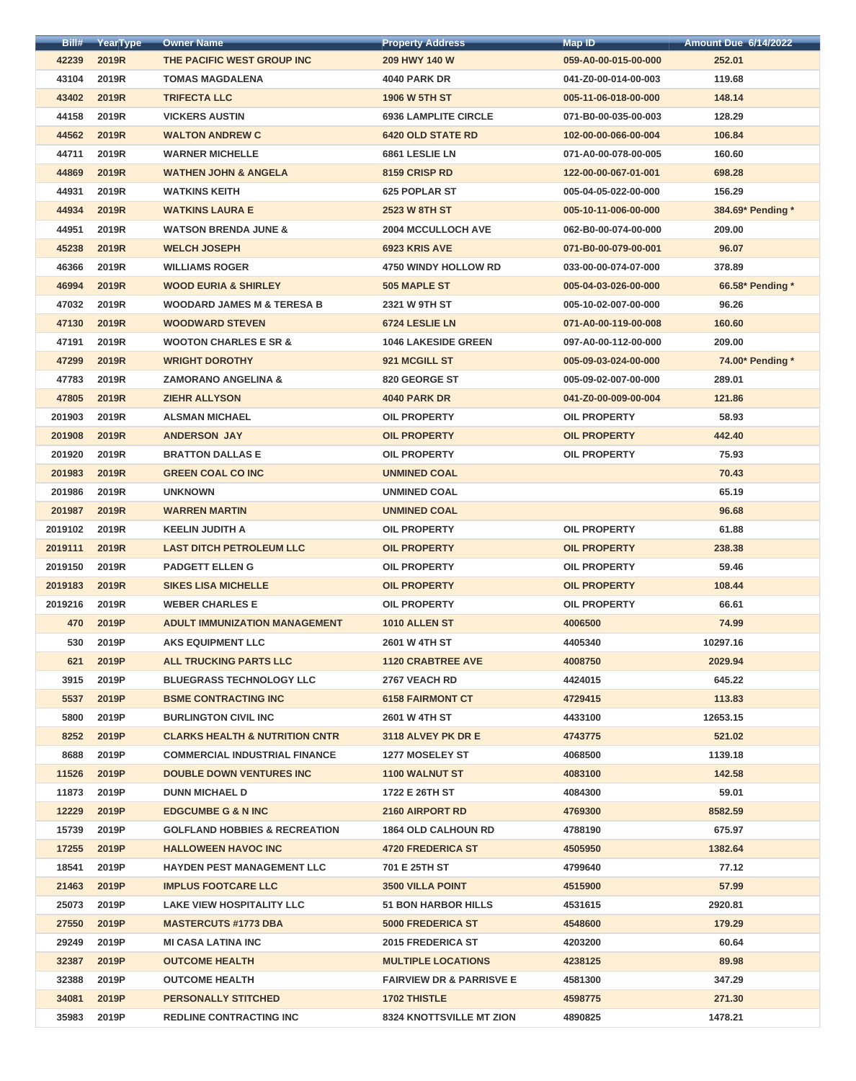| Bill#   | <b>YearType</b> | <b>Owner Name</b>                         | <b>Property Address</b>             | <b>Map ID</b>        | <b>Amount Due 6/14/2022</b> |
|---------|-----------------|-------------------------------------------|-------------------------------------|----------------------|-----------------------------|
| 42239   | 2019R           | THE PACIFIC WEST GROUP INC                | 209 HWY 140 W                       | 059-A0-00-015-00-000 | 252.01                      |
| 43104   | 2019R           | <b>TOMAS MAGDALENA</b>                    | <b>4040 PARK DR</b>                 | 041-Z0-00-014-00-003 | 119.68                      |
| 43402   | 2019R           | <b>TRIFECTA LLC</b>                       | <b>1906 W 5TH ST</b>                | 005-11-06-018-00-000 | 148.14                      |
| 44158   | 2019R           | <b>VICKERS AUSTIN</b>                     | <b>6936 LAMPLITE CIRCLE</b>         | 071-B0-00-035-00-003 | 128.29                      |
| 44562   | 2019R           | <b>WALTON ANDREW C</b>                    | <b>6420 OLD STATE RD</b>            | 102-00-00-066-00-004 | 106.84                      |
| 44711   | 2019R           | <b>WARNER MICHELLE</b>                    | 6861 LESLIE LN                      | 071-A0-00-078-00-005 | 160.60                      |
| 44869   | 2019R           | <b>WATHEN JOHN &amp; ANGELA</b>           | 8159 CRISP RD                       | 122-00-00-067-01-001 | 698.28                      |
| 44931   | 2019R           | <b>WATKINS KEITH</b>                      | <b>625 POPLAR ST</b>                | 005-04-05-022-00-000 | 156.29                      |
| 44934   | 2019R           | <b>WATKINS LAURA E</b>                    | <b>2523 W 8TH ST</b>                | 005-10-11-006-00-000 | 384.69* Pending *           |
| 44951   | 2019R           | <b>WATSON BRENDA JUNE &amp;</b>           | <b>2004 MCCULLOCH AVE</b>           | 062-B0-00-074-00-000 | 209.00                      |
| 45238   | 2019R           | <b>WELCH JOSEPH</b>                       | 6923 KRIS AVE                       | 071-B0-00-079-00-001 | 96.07                       |
| 46366   | 2019R           | <b>WILLIAMS ROGER</b>                     | <b>4750 WINDY HOLLOW RD</b>         | 033-00-00-074-07-000 | 378.89                      |
| 46994   | 2019R           | <b>WOOD EURIA &amp; SHIRLEY</b>           | 505 MAPLE ST                        | 005-04-03-026-00-000 | 66.58* Pending *            |
| 47032   | 2019R           | <b>WOODARD JAMES M &amp; TERESA B</b>     | 2321 W 9TH ST                       | 005-10-02-007-00-000 | 96.26                       |
| 47130   | 2019R           | <b>WOODWARD STEVEN</b>                    | 6724 LESLIE LN                      | 071-A0-00-119-00-008 | 160.60                      |
| 47191   | 2019R           | <b>WOOTON CHARLES E SR &amp;</b>          | <b>1046 LAKESIDE GREEN</b>          | 097-A0-00-112-00-000 | 209.00                      |
| 47299   | 2019R           | <b>WRIGHT DOROTHY</b>                     | 921 MCGILL ST                       | 005-09-03-024-00-000 | 74.00* Pending *            |
| 47783   | 2019R           | <b>ZAMORANO ANGELINA &amp;</b>            | 820 GEORGE ST                       | 005-09-02-007-00-000 | 289.01                      |
| 47805   | 2019R           | <b>ZIEHR ALLYSON</b>                      | <b>4040 PARK DR</b>                 | 041-Z0-00-009-00-004 | 121.86                      |
| 201903  | 2019R           | <b>ALSMAN MICHAEL</b>                     | <b>OIL PROPERTY</b>                 | <b>OIL PROPERTY</b>  | 58.93                       |
| 201908  | 2019R           | <b>ANDERSON JAY</b>                       | <b>OIL PROPERTY</b>                 | <b>OIL PROPERTY</b>  | 442.40                      |
| 201920  | 2019R           | <b>BRATTON DALLAS E</b>                   | <b>OIL PROPERTY</b>                 | <b>OIL PROPERTY</b>  | 75.93                       |
| 201983  | <b>2019R</b>    | <b>GREEN COAL CO INC</b>                  | <b>UNMINED COAL</b>                 |                      | 70.43                       |
| 201986  | 2019R           | <b>UNKNOWN</b>                            | <b>UNMINED COAL</b>                 |                      | 65.19                       |
| 201987  | <b>2019R</b>    | <b>WARREN MARTIN</b>                      | <b>UNMINED COAL</b>                 |                      | 96.68                       |
| 2019102 | 2019R           | <b>KEELIN JUDITH A</b>                    | <b>OIL PROPERTY</b>                 | <b>OIL PROPERTY</b>  | 61.88                       |
| 2019111 | <b>2019R</b>    | <b>LAST DITCH PETROLEUM LLC</b>           | <b>OIL PROPERTY</b>                 | <b>OIL PROPERTY</b>  | 238.38                      |
| 2019150 | 2019R           | <b>PADGETT ELLEN G</b>                    | <b>OIL PROPERTY</b>                 | <b>OIL PROPERTY</b>  | 59.46                       |
| 2019183 | <b>2019R</b>    | <b>SIKES LISA MICHELLE</b>                | <b>OIL PROPERTY</b>                 | <b>OIL PROPERTY</b>  | 108.44                      |
| 2019216 | 2019R           | <b>WEBER CHARLES E</b>                    | <b>OIL PROPERTY</b>                 | <b>OIL PROPERTY</b>  | 66.61                       |
| 470     | 2019P           | <b>ADULT IMMUNIZATION MANAGEMENT</b>      | 1010 ALLEN ST                       | 4006500              | 74.99                       |
| 530     | 2019P           | <b>AKS EQUIPMENT LLC</b>                  | <b>2601 W 4TH ST</b>                | 4405340              | 10297.16                    |
| 621     | 2019P           | <b>ALL TRUCKING PARTS LLC</b>             | <b>1120 CRABTREE AVE</b>            | 4008750              | 2029.94                     |
| 3915    | 2019P           | <b>BLUEGRASS TECHNOLOGY LLC</b>           | 2767 VEACH RD                       | 4424015              | 645.22                      |
| 5537    | 2019P           | <b>BSME CONTRACTING INC</b>               | <b>6158 FAIRMONT CT</b>             | 4729415              | 113.83                      |
| 5800    | 2019P           | <b>BURLINGTON CIVIL INC</b>               | <b>2601 W 4TH ST</b>                | 4433100              | 12653.15                    |
| 8252    | 2019P           | <b>CLARKS HEALTH &amp; NUTRITION CNTR</b> | 3118 ALVEY PK DR E                  | 4743775              | 521.02                      |
| 8688    | 2019P           | <b>COMMERCIAL INDUSTRIAL FINANCE</b>      | <b>1277 MOSELEY ST</b>              | 4068500              | 1139.18                     |
| 11526   | 2019P           | <b>DOUBLE DOWN VENTURES INC</b>           | <b>1100 WALNUT ST</b>               | 4083100              | 142.58                      |
| 11873   | 2019P           | <b>DUNN MICHAEL D</b>                     | 1722 E 26TH ST                      | 4084300              | 59.01                       |
| 12229   | 2019P           | <b>EDGCUMBE G &amp; N INC</b>             | 2160 AIRPORT RD                     | 4769300              | 8582.59                     |
| 15739   | 2019P           | <b>GOLFLAND HOBBIES &amp; RECREATION</b>  | <b>1864 OLD CALHOUN RD</b>          | 4788190              | 675.97                      |
| 17255   | 2019P           | <b>HALLOWEEN HAVOC INC</b>                | <b>4720 FREDERICA ST</b>            | 4505950              | 1382.64                     |
| 18541   | 2019P           | <b>HAYDEN PEST MANAGEMENT LLC</b>         | 701 E 25TH ST                       | 4799640              | 77.12                       |
| 21463   | 2019P           | <b>IMPLUS FOOTCARE LLC</b>                | <b>3500 VILLA POINT</b>             | 4515900              | 57.99                       |
| 25073   | 2019P           | <b>LAKE VIEW HOSPITALITY LLC</b>          | <b>51 BON HARBOR HILLS</b>          | 4531615              | 2920.81                     |
|         | 27550 2019P     | <b>MASTERCUTS #1773 DBA</b>               | <b>5000 FREDERICA ST</b>            | 4548600              | 179.29                      |
| 29249   | 2019P           | <b>MI CASA LATINA INC</b>                 | <b>2015 FREDERICA ST</b>            | 4203200              | 60.64                       |
| 32387   | 2019P           | <b>OUTCOME HEALTH</b>                     | <b>MULTIPLE LOCATIONS</b>           | 4238125              | 89.98                       |
| 32388   | 2019P           | <b>OUTCOME HEALTH</b>                     | <b>FAIRVIEW DR &amp; PARRISVE E</b> | 4581300              | 347.29                      |
| 34081   | 2019P           | <b>PERSONALLY STITCHED</b>                | <b>1702 THISTLE</b>                 | 4598775              | 271.30                      |
| 35983   | 2019P           | <b>REDLINE CONTRACTING INC</b>            | <b>8324 KNOTTSVILLE MT ZION</b>     | 4890825              | 1478.21                     |